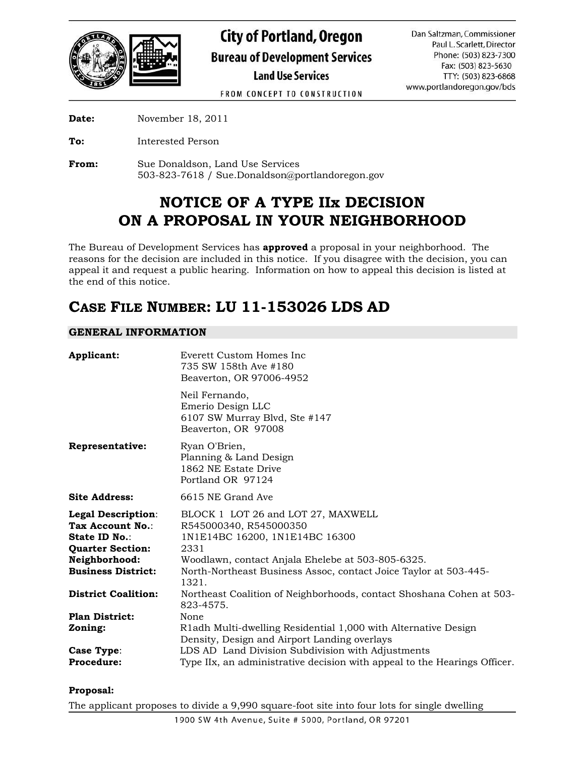

FROM CONCEPT TO CONSTRUCTION

**Date:** November 18, 2011

**To:** Interested Person

**From:** Sue Donaldson, Land Use Services 503-823-7618 / Sue.Donaldson@portlandoregon.gov

# **NOTICE OF A TYPE IIx DECISION ON A PROPOSAL IN YOUR NEIGHBORHOOD**

The Bureau of Development Services has **approved** a proposal in your neighborhood. The reasons for the decision are included in this notice. If you disagree with the decision, you can appeal it and request a public hearing. Information on how to appeal this decision is listed at the end of this notice.

## **CASE FILE NUMBER: LU 11-153026 LDS AD**

## **GENERAL INFORMATION**

| Applicant:                                                                                                                       | Everett Custom Homes Inc.<br>735 SW 158th Ave #180<br>Beaverton, OR 97006-4952                                                                                                                                                           |
|----------------------------------------------------------------------------------------------------------------------------------|------------------------------------------------------------------------------------------------------------------------------------------------------------------------------------------------------------------------------------------|
|                                                                                                                                  | Neil Fernando,<br>Emerio Design LLC<br>6107 SW Murray Blvd, Ste #147<br>Beaverton, OR 97008                                                                                                                                              |
| Representative:                                                                                                                  | Ryan O'Brien,<br>Planning & Land Design<br>1862 NE Estate Drive<br>Portland OR 97124                                                                                                                                                     |
| <b>Site Address:</b>                                                                                                             | 6615 NE Grand Ave                                                                                                                                                                                                                        |
| Legal Description:<br>Tax Account No.:<br>State ID No.:<br><b>Quarter Section:</b><br>Neighborhood:<br><b>Business District:</b> | BLOCK 1 LOT 26 and LOT 27, MAXWELL<br>R545000340, R545000350<br>1N1E14BC 16200, 1N1E14BC 16300<br>2331<br>Woodlawn, contact Anjala Ehelebe at 503-805-6325.<br>North-Northeast Business Assoc, contact Joice Taylor at 503-445-<br>1321. |
| <b>District Coalition:</b>                                                                                                       | Northeast Coalition of Neighborhoods, contact Shoshana Cohen at 503-<br>823-4575.                                                                                                                                                        |
| <b>Plan District:</b><br>Zoning:                                                                                                 | None<br>R1adh Multi-dwelling Residential 1,000 with Alternative Design<br>Density, Design and Airport Landing overlays                                                                                                                   |
| Case Type:<br>Procedure:                                                                                                         | LDS AD Land Division Subdivision with Adjustments<br>Type IIx, an administrative decision with appeal to the Hearings Officer.                                                                                                           |

## **Proposal:**

The applicant proposes to divide a 9,990 square-foot site into four lots for single dwelling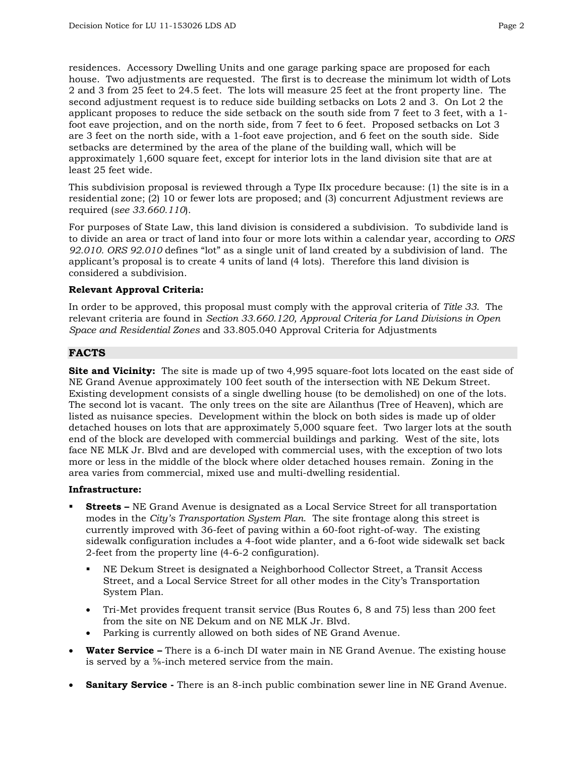residences. Accessory Dwelling Units and one garage parking space are proposed for each house. Two adjustments are requested. The first is to decrease the minimum lot width of Lots 2 and 3 from 25 feet to 24.5 feet. The lots will measure 25 feet at the front property line. The second adjustment request is to reduce side building setbacks on Lots 2 and 3. On Lot 2 the applicant proposes to reduce the side setback on the south side from 7 feet to 3 feet, with a 1 foot eave projection, and on the north side, from 7 feet to 6 feet. Proposed setbacks on Lot 3 are 3 feet on the north side, with a 1-foot eave projection, and 6 feet on the south side. Side setbacks are determined by the area of the plane of the building wall, which will be approximately 1,600 square feet, except for interior lots in the land division site that are at least 25 feet wide.

This subdivision proposal is reviewed through a Type IIx procedure because: (1) the site is in a residential zone; (2) 10 or fewer lots are proposed; and (3) concurrent Adjustment reviews are required (*see 33.660.110*).

For purposes of State Law, this land division is considered a subdivision. To subdivide land is to divide an area or tract of land into four or more lots within a calendar year, according to *ORS 92.010. ORS 92.010* defines "lot" as a single unit of land created by a subdivision of land. The applicant's proposal is to create 4 units of land (4 lots). Therefore this land division is considered a subdivision.

#### **Relevant Approval Criteria:**

In order to be approved, this proposal must comply with the approval criteria of *Title 33*. The relevant criteria are found in *Section 33.660.120, Approval Criteria for Land Divisions in Open Space and Residential Zones* and 33.805.040 Approval Criteria for Adjustments

#### **FACTS**

**Site and Vicinity:** The site is made up of two 4,995 square-foot lots located on the east side of NE Grand Avenue approximately 100 feet south of the intersection with NE Dekum Street. Existing development consists of a single dwelling house (to be demolished) on one of the lots. The second lot is vacant. The only trees on the site are Ailanthus (Tree of Heaven), which are listed as nuisance species. Development within the block on both sides is made up of older detached houses on lots that are approximately 5,000 square feet. Two larger lots at the south end of the block are developed with commercial buildings and parking. West of the site, lots face NE MLK Jr. Blvd and are developed with commercial uses, with the exception of two lots more or less in the middle of the block where older detached houses remain. Zoning in the area varies from commercial, mixed use and multi-dwelling residential.

#### **Infrastructure:**

- **Streets** NE Grand Avenue is designated as a Local Service Street for all transportation modes in the *City's Transportation System Plan*. The site frontage along this street is currently improved with 36-feet of paving within a 60-foot right-of-way. The existing sidewalk configuration includes a 4-foot wide planter, and a 6-foot wide sidewalk set back 2-feet from the property line (4-6-2 configuration).
	- NE Dekum Street is designated a Neighborhood Collector Street, a Transit Access Street, and a Local Service Street for all other modes in the City's Transportation System Plan.
	- Tri-Met provides frequent transit service (Bus Routes 6, 8 and 75) less than 200 feet from the site on NE Dekum and on NE MLK Jr. Blvd.
	- Parking is currently allowed on both sides of NE Grand Avenue.
- **Water Service –** There is a 6-inch DI water main in NE Grand Avenue. The existing house is served by a ⅝-inch metered service from the main.
- **Sanitary Service -** There is an 8-inch public combination sewer line in NE Grand Avenue.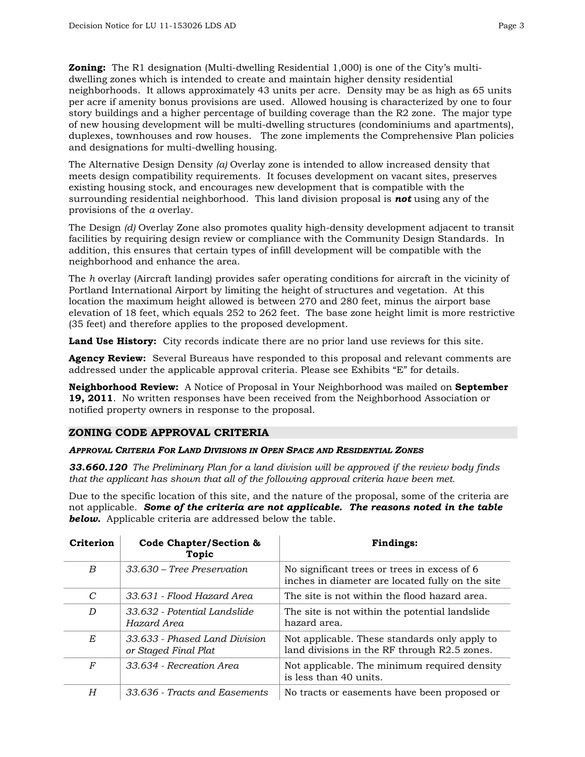**Zoning:** The R1 designation (Multi-dwelling Residential 1,000) is one of the City's multidwelling zones which is intended to create and maintain higher density residential neighborhoods. It allows approximately 43 units per acre. Density may be as high as 65 units per acre if amenity bonus provisions are used. Allowed housing is characterized by one to four story buildings and a higher percentage of building coverage than the R2 zone. The major type of new housing development will be multi-dwelling structures (condominiums and apartments), duplexes, townhouses and row houses. The zone implements the Comprehensive Plan policies and designations for multi-dwelling housing.

The Alternative Design Density *(a)* Overlay zone is intended to allow increased density that meets design compatibility requirements. It focuses development on vacant sites, preserves existing housing stock, and encourages new development that is compatible with the surrounding residential neighborhood. This land division proposal is *not* using any of the provisions of the *a* overlay.

The Design *(d)* Overlay Zone also promotes quality high-density development adjacent to transit facilities by requiring design review or compliance with the Community Design Standards. In addition, this ensures that certain types of infill development will be compatible with the neighborhood and enhance the area.

The *h* overlay (Aircraft landing) provides safer operating conditions for aircraft in the vicinity of Portland International Airport by limiting the height of structures and vegetation. At this location the maximum height allowed is between 270 and 280 feet, minus the airport base elevation of 18 feet, which equals 252 to 262 feet. The base zone height limit is more restrictive (35 feet) and therefore applies to the proposed development.

**Land Use History:** City records indicate there are no prior land use reviews for this site.

**Agency Review:** Several Bureaus have responded to this proposal and relevant comments are addressed under the applicable approval criteria. Please see Exhibits "E" for details.

**Neighborhood Review:** A Notice of Proposal in Your Neighborhood was mailed on **September 19, 2011**. No written responses have been received from the Neighborhood Association or notified property owners in response to the proposal.

#### **ZONING CODE APPROVAL CRITERIA**

## *APPROVAL CRITERIA FOR LAND DIVISIONS IN OPEN SPACE AND RESIDENTIAL ZONES*

*33.660.120 The Preliminary Plan for a land division will be approved if the review body finds that the applicant has shown that all of the following approval criteria have been met.*

Due to the specific location of this site, and the nature of the proposal, some of the criteria are not applicable. *Some of the criteria are not applicable. The reasons noted in the table below.* Applicable criteria are addressed below the table.

| <b>Criterion</b> | Code Chapter/Section &<br>Topic                       | <b>Findings:</b>                                                                                 |
|------------------|-------------------------------------------------------|--------------------------------------------------------------------------------------------------|
| B                | $33.630$ – Tree Preservation                          | No significant trees or trees in excess of 6<br>inches in diameter are located fully on the site |
| C                | 33.631 - Flood Hazard Area                            | The site is not within the flood hazard area.                                                    |
| D                | 33.632 - Potential Landslide<br>Hazard Area           | The site is not within the potential landslide<br>hazard area.                                   |
| E                | 33.633 - Phased Land Division<br>or Staged Final Plat | Not applicable. These standards only apply to<br>land divisions in the RF through R2.5 zones.    |
| F                | 33.634 - Recreation Area                              | Not applicable. The minimum required density<br>is less than 40 units.                           |
| H                | 33.636 - Tracts and Easements                         | No tracts or easements have been proposed or                                                     |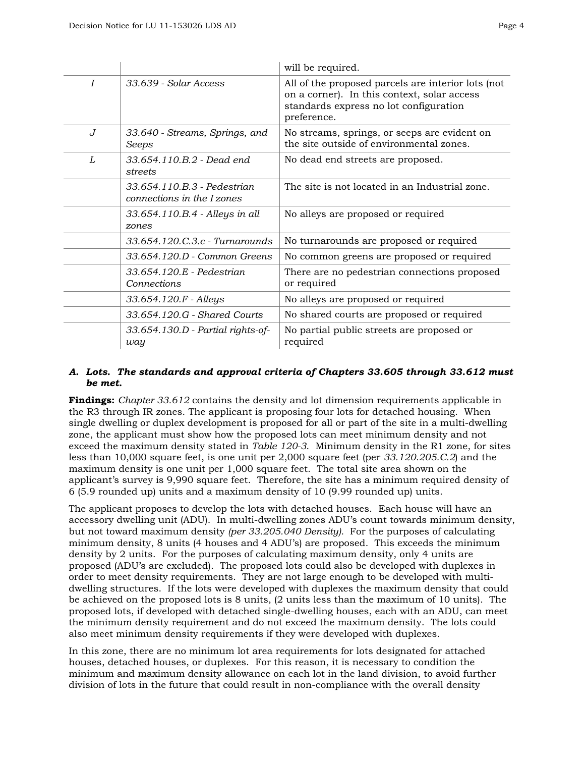|                |                                                           | will be required.                                                                                                                                          |
|----------------|-----------------------------------------------------------|------------------------------------------------------------------------------------------------------------------------------------------------------------|
| $\overline{I}$ | 33.639 - Solar Access                                     | All of the proposed parcels are interior lots (not<br>on a corner). In this context, solar access<br>standards express no lot configuration<br>preference. |
| $J_{\rm}$      | 33.640 - Streams, Springs, and<br>Seeps                   | No streams, springs, or seeps are evident on<br>the site outside of environmental zones.                                                                   |
| L              | 33.654.110.B.2 - Dead end<br>streets                      | No dead end streets are proposed.                                                                                                                          |
|                | 33.654.110.B.3 - Pedestrian<br>connections in the I zones | The site is not located in an Industrial zone.                                                                                                             |
|                | 33.654.110.B.4 - Alleys in all<br>zones                   | No alleys are proposed or required                                                                                                                         |
|                | 33.654.120.C.3.c - Turnarounds                            | No turnarounds are proposed or required                                                                                                                    |
|                | 33.654.120.D - Common Greens                              | No common greens are proposed or required                                                                                                                  |
|                | 33.654.120.E - Pedestrian<br>Connections                  | There are no pedestrian connections proposed<br>or required                                                                                                |
|                | 33.654.120.F - Alleys                                     | No alleys are proposed or required                                                                                                                         |
|                | 33.654.120.G - Shared Courts                              | No shared courts are proposed or required                                                                                                                  |
|                | 33.654.130.D - Partial rights-of-<br>way                  | No partial public streets are proposed or<br>required                                                                                                      |

## *A. Lots. The standards and approval criteria of Chapters 33.605 through 33.612 must be met.*

**Findings:** *Chapter 33.612* contains the density and lot dimension requirements applicable in the R3 through IR zones. The applicant is proposing four lots for detached housing. When single dwelling or duplex development is proposed for all or part of the site in a multi-dwelling zone, the applicant must show how the proposed lots can meet minimum density and not exceed the maximum density stated in *Table 120-3*. Minimum density in the R1 zone, for sites less than 10,000 square feet, is one unit per 2,000 square feet (per *33.120.205.C.2*) and the maximum density is one unit per 1,000 square feet. The total site area shown on the applicant's survey is 9,990 square feet. Therefore, the site has a minimum required density of 6 (5.9 rounded up) units and a maximum density of 10 (9.99 rounded up) units.

The applicant proposes to develop the lots with detached houses. Each house will have an accessory dwelling unit (ADU). In multi-dwelling zones ADU's count towards minimum density, but not toward maximum density *(per 33.205.040 Density).* For the purposes of calculating minimum density, 8 units (4 houses and 4 ADU's) are proposed. This exceeds the minimum density by 2 units. For the purposes of calculating maximum density, only 4 units are proposed (ADU's are excluded). The proposed lots could also be developed with duplexes in order to meet density requirements. They are not large enough to be developed with multidwelling structures. If the lots were developed with duplexes the maximum density that could be achieved on the proposed lots is 8 units, (2 units less than the maximum of 10 units). The proposed lots, if developed with detached single-dwelling houses, each with an ADU, can meet the minimum density requirement and do not exceed the maximum density. The lots could also meet minimum density requirements if they were developed with duplexes.

In this zone, there are no minimum lot area requirements for lots designated for attached houses, detached houses, or duplexes. For this reason, it is necessary to condition the minimum and maximum density allowance on each lot in the land division, to avoid further division of lots in the future that could result in non-compliance with the overall density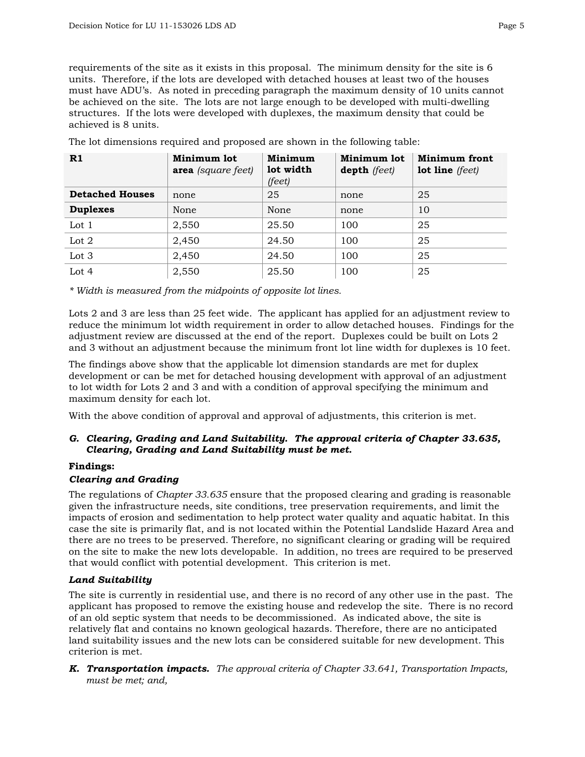requirements of the site as it exists in this proposal. The minimum density for the site is 6 units. Therefore, if the lots are developed with detached houses at least two of the houses must have ADU's. As noted in preceding paragraph the maximum density of 10 units cannot be achieved on the site. The lots are not large enough to be developed with multi-dwelling structures. If the lots were developed with duplexes, the maximum density that could be achieved is 8 units.

| R1                     | Minimum lot<br><b>area</b> (square feet) | Minimum<br>lot width<br>(feet) | Minimum lot<br><b>depth</b> (feet) | <b>Minimum front</b><br><b>lot line</b> (feet) |
|------------------------|------------------------------------------|--------------------------------|------------------------------------|------------------------------------------------|
| <b>Detached Houses</b> | none                                     | 25                             | none                               | 25                                             |
| <b>Duplexes</b>        | None                                     | None                           | none                               | 10                                             |
| Lot $1$                | 2,550                                    | 25.50                          | 100                                | 25                                             |
| Lot $2$                | 2,450                                    | 24.50                          | 100                                | 25                                             |
| Lot 3                  | 2,450                                    | 24.50                          | 100                                | 25                                             |
| Lot $4$                | 2,550                                    | 25.50                          | 100                                | 25                                             |

The lot dimensions required and proposed are shown in the following table:

*\* Width is measured from the midpoints of opposite lot lines.* 

Lots 2 and 3 are less than 25 feet wide. The applicant has applied for an adjustment review to reduce the minimum lot width requirement in order to allow detached houses. Findings for the adjustment review are discussed at the end of the report. Duplexes could be built on Lots 2 and 3 without an adjustment because the minimum front lot line width for duplexes is 10 feet.

The findings above show that the applicable lot dimension standards are met for duplex development or can be met for detached housing development with approval of an adjustment to lot width for Lots 2 and 3 and with a condition of approval specifying the minimum and maximum density for each lot.

With the above condition of approval and approval of adjustments, this criterion is met.

## *G. Clearing, Grading and Land Suitability. The approval criteria of Chapter 33.635, Clearing, Grading and Land Suitability must be met.*

#### **Findings:**

#### *Clearing and Grading*

The regulations of *Chapter 33.635* ensure that the proposed clearing and grading is reasonable given the infrastructure needs, site conditions, tree preservation requirements, and limit the impacts of erosion and sedimentation to help protect water quality and aquatic habitat. In this case the site is primarily flat, and is not located within the Potential Landslide Hazard Area and there are no trees to be preserved. Therefore, no significant clearing or grading will be required on the site to make the new lots developable. In addition, no trees are required to be preserved that would conflict with potential development. This criterion is met.

#### *Land Suitability*

The site is currently in residential use, and there is no record of any other use in the past. The applicant has proposed to remove the existing house and redevelop the site. There is no record of an old septic system that needs to be decommissioned. As indicated above, the site is relatively flat and contains no known geological hazards. Therefore, there are no anticipated land suitability issues and the new lots can be considered suitable for new development. This criterion is met.

*K. Transportation impacts. The approval criteria of Chapter 33.641, Transportation Impacts, must be met; and,*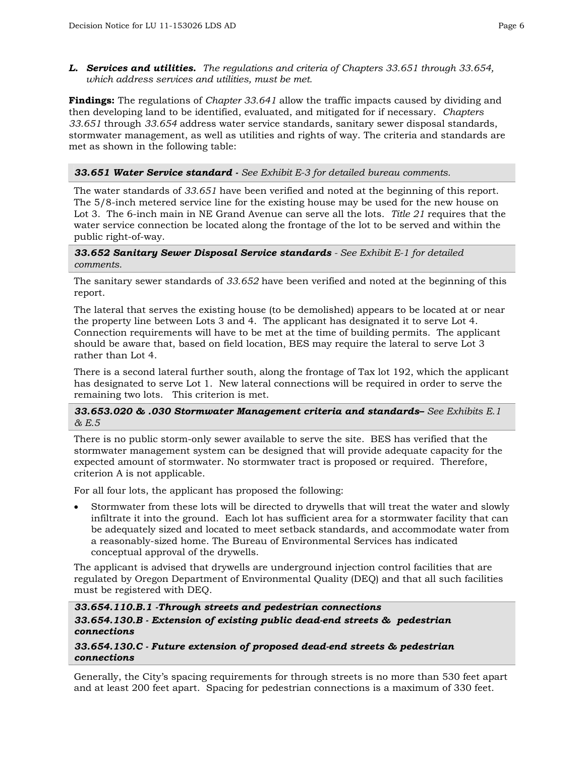*L. Services and utilities. The regulations and criteria of Chapters 33.651 through 33.654, which address services and utilities, must be met.*

**Findings:** The regulations of *Chapter 33.641* allow the traffic impacts caused by dividing and then developing land to be identified, evaluated, and mitigated for if necessary. *Chapters 33.651* through *33.654* address water service standards, sanitary sewer disposal standards, stormwater management, as well as utilities and rights of way. The criteria and standards are met as shown in the following table:

#### *33.651 Water Service standard - See Exhibit E-3 for detailed bureau comments.*

The water standards of *33.651* have been verified and noted at the beginning of this report. The 5/8-inch metered service line for the existing house may be used for the new house on Lot 3. The 6-inch main in NE Grand Avenue can serve all the lots. *Title 21* requires that the water service connection be located along the frontage of the lot to be served and within the public right-of-way.

#### *33.652 Sanitary Sewer Disposal Service standards - See Exhibit E-1 for detailed comments.*

The sanitary sewer standards of *33.652* have been verified and noted at the beginning of this report.

The lateral that serves the existing house (to be demolished) appears to be located at or near the property line between Lots 3 and 4. The applicant has designated it to serve Lot 4. Connection requirements will have to be met at the time of building permits. The applicant should be aware that, based on field location, BES may require the lateral to serve Lot 3 rather than Lot 4.

There is a second lateral further south, along the frontage of Tax lot 192, which the applicant has designated to serve Lot 1. New lateral connections will be required in order to serve the remaining two lots. This criterion is met.

#### *33.653.020 & .030 Stormwater Management criteria and standards– See Exhibits E.1 & E.5*

There is no public storm-only sewer available to serve the site. BES has verified that the stormwater management system can be designed that will provide adequate capacity for the expected amount of stormwater. No stormwater tract is proposed or required. Therefore, criterion A is not applicable.

For all four lots, the applicant has proposed the following:

• Stormwater from these lots will be directed to drywells that will treat the water and slowly infiltrate it into the ground. Each lot has sufficient area for a stormwater facility that can be adequately sized and located to meet setback standards, and accommodate water from a reasonably-sized home. The Bureau of Environmental Services has indicated conceptual approval of the drywells.

The applicant is advised that drywells are underground injection control facilities that are regulated by Oregon Department of Environmental Quality (DEQ) and that all such facilities must be registered with DEQ.

## *33.654.110.B.1 -Through streets and pedestrian connections 33.654.130.B - Extension of existing public dead-end streets & pedestrian connections*

#### *33.654.130.C - Future extension of proposed dead-end streets & pedestrian connections*

Generally, the City's spacing requirements for through streets is no more than 530 feet apart and at least 200 feet apart. Spacing for pedestrian connections is a maximum of 330 feet.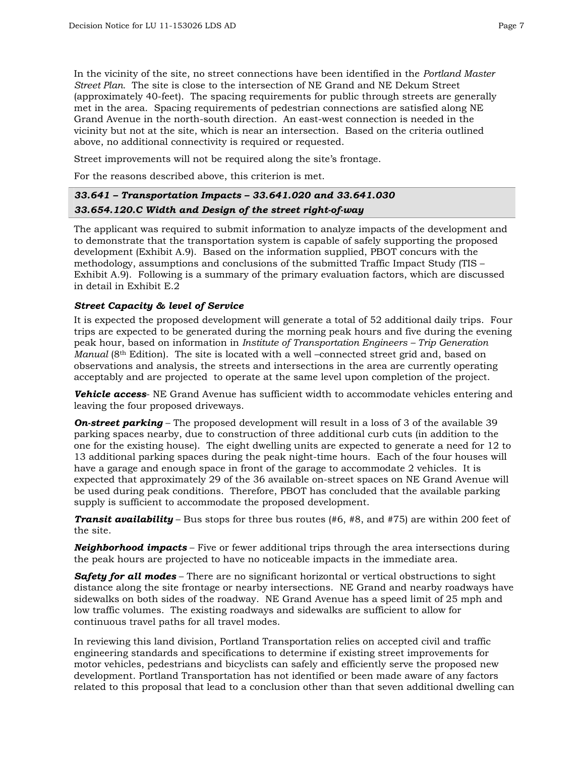In the vicinity of the site, no street connections have been identified in the *Portland Master Street Plan.* The site is close to the intersection of NE Grand and NE Dekum Street (approximately 40-feet). The spacing requirements for public through streets are generally met in the area. Spacing requirements of pedestrian connections are satisfied along NE Grand Avenue in the north-south direction. An east-west connection is needed in the vicinity but not at the site, which is near an intersection. Based on the criteria outlined above, no additional connectivity is required or requested.

Street improvements will not be required along the site's frontage.

For the reasons described above, this criterion is met.

## *33.641 – Transportation Impacts – 33.641.020 and 33.641.030 33.654.120.C Width and Design of the street right-of-way*

The applicant was required to submit information to analyze impacts of the development and to demonstrate that the transportation system is capable of safely supporting the proposed development (Exhibit A.9). Based on the information supplied, PBOT concurs with the methodology, assumptions and conclusions of the submitted Traffic Impact Study (TIS – Exhibit A.9). Following is a summary of the primary evaluation factors, which are discussed in detail in Exhibit E.2

## *Street Capacity & level of Service*

It is expected the proposed development will generate a total of 52 additional daily trips. Four trips are expected to be generated during the morning peak hours and five during the evening peak hour, based on information in *Institute of Transportation Engineers – Trip Generation Manual* (8<sup>th</sup> Edition). The site is located with a well –connected street grid and, based on observations and analysis, the streets and intersections in the area are currently operating acceptably and are projected to operate at the same level upon completion of the project.

*Vehicle access*- NE Grand Avenue has sufficient width to accommodate vehicles entering and leaving the four proposed driveways.

**On-street parking** – The proposed development will result in a loss of 3 of the available 39 parking spaces nearby, due to construction of three additional curb cuts (in addition to the one for the existing house). The eight dwelling units are expected to generate a need for 12 to 13 additional parking spaces during the peak night-time hours. Each of the four houses will have a garage and enough space in front of the garage to accommodate 2 vehicles. It is expected that approximately 29 of the 36 available on-street spaces on NE Grand Avenue will be used during peak conditions. Therefore, PBOT has concluded that the available parking supply is sufficient to accommodate the proposed development.

*Transit availability* – Bus stops for three bus routes (#6, #8, and #75) are within 200 feet of the site.

*Neighborhood impacts* – Five or fewer additional trips through the area intersections during the peak hours are projected to have no noticeable impacts in the immediate area.

*Safety for all modes* – There are no significant horizontal or vertical obstructions to sight distance along the site frontage or nearby intersections. NE Grand and nearby roadways have sidewalks on both sides of the roadway. NE Grand Avenue has a speed limit of 25 mph and low traffic volumes. The existing roadways and sidewalks are sufficient to allow for continuous travel paths for all travel modes.

In reviewing this land division, Portland Transportation relies on accepted civil and traffic engineering standards and specifications to determine if existing street improvements for motor vehicles, pedestrians and bicyclists can safely and efficiently serve the proposed new development. Portland Transportation has not identified or been made aware of any factors related to this proposal that lead to a conclusion other than that seven additional dwelling can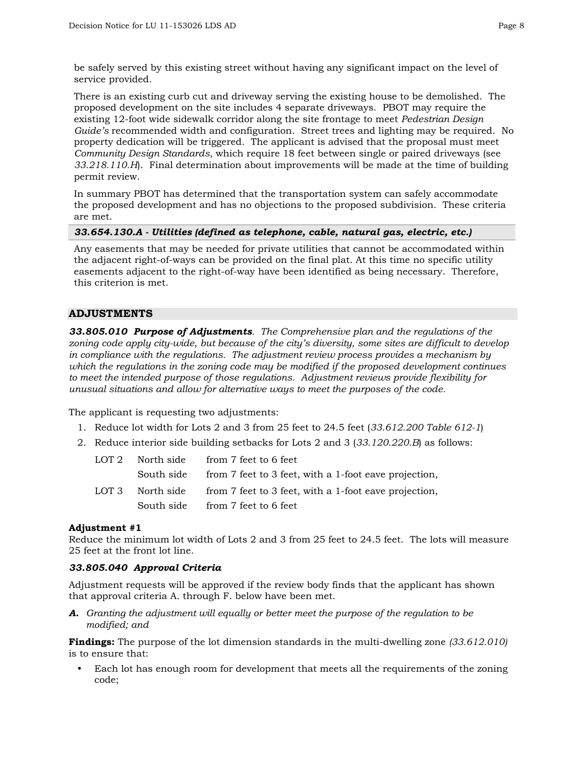be safely served by this existing street without having any significant impact on the level of service provided.

There is an existing curb cut and driveway serving the existing house to be demolished. The proposed development on the site includes 4 separate driveways. PBOT may require the existing 12-foot wide sidewalk corridor along the site frontage to meet *Pedestrian Design Guide's* recommended width and configuration. Street trees and lighting may be required. No property dedication will be triggered. The applicant is advised that the proposal must meet *Community Design Standards*, which require 18 feet between single or paired driveways (see *33.218.110.H*). Final determination about improvements will be made at the time of building permit review.

In summary PBOT has determined that the transportation system can safely accommodate the proposed development and has no objections to the proposed subdivision. These criteria are met.

#### *33.654.130.A - Utilities (defined as telephone, cable, natural gas, electric, etc.)*

Any easements that may be needed for private utilities that cannot be accommodated within the adjacent right-of-ways can be provided on the final plat. At this time no specific utility easements adjacent to the right-of-way have been identified as being necessary. Therefore, this criterion is met.

#### **ADJUSTMENTS**

*33.805.010 Purpose of Adjustments. The Comprehensive plan and the regulations of the zoning code apply city-wide, but because of the city's diversity, some sites are difficult to develop in compliance with the regulations. The adjustment review process provides a mechanism by which the regulations in the zoning code may be modified if the proposed development continues to meet the intended purpose of those regulations. Adjustment reviews provide flexibility for unusual situations and allow for alternative ways to meet the purposes of the code.*

The applicant is requesting two adjustments:

- 1. Reduce lot width for Lots 2 and 3 from 25 feet to 24.5 feet (*33.612.200 Table 612-1*)
- 2. Reduce interior side building setbacks for Lots 2 and 3 (*33.120.220.B*) as follows:

| LOT 2 | North side | from 7 feet to 6 feet                                 |
|-------|------------|-------------------------------------------------------|
|       | South side | from 7 feet to 3 feet, with a 1-foot eave projection, |
| LOT 3 | North side | from 7 feet to 3 feet, with a 1-foot eave projection, |
|       |            | South side from 7 feet to 6 feet                      |

#### **Adjustment #1**

Reduce the minimum lot width of Lots 2 and 3 from 25 feet to 24.5 feet. The lots will measure 25 feet at the front lot line.

#### *33.805.040 Approval Criteria*

Adjustment requests will be approved if the review body finds that the applicant has shown that approval criteria A. through F. below have been met.

*A. Granting the adjustment will equally or better meet the purpose of the regulation to be modified; and*

**Findings:** The purpose of the lot dimension standards in the multi-dwelling zone *(33.612.010)*  is to ensure that:

Each lot has enough room for development that meets all the requirements of the zoning code;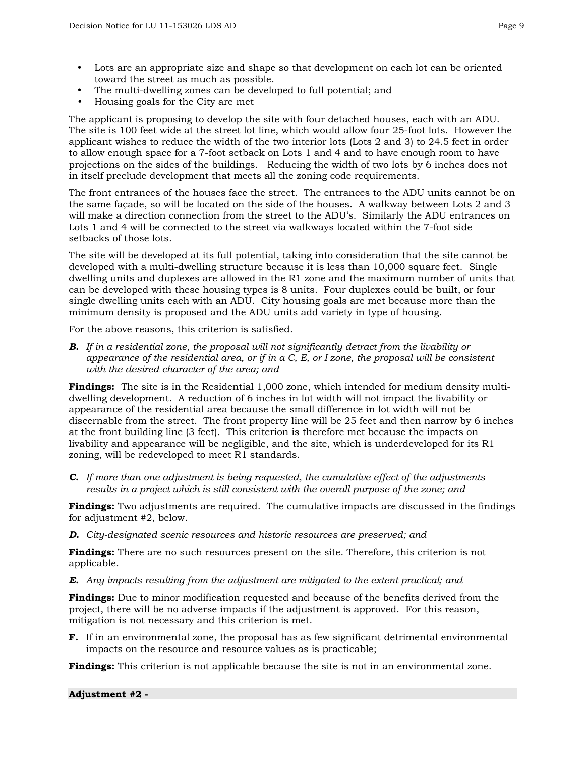- Lots are an appropriate size and shape so that development on each lot can be oriented toward the street as much as possible.
- The multi-dwelling zones can be developed to full potential; and
- Housing goals for the City are met

The applicant is proposing to develop the site with four detached houses, each with an ADU. The site is 100 feet wide at the street lot line, which would allow four 25-foot lots. However the applicant wishes to reduce the width of the two interior lots (Lots 2 and 3) to 24.5 feet in order to allow enough space for a 7-foot setback on Lots 1 and 4 and to have enough room to have projections on the sides of the buildings. Reducing the width of two lots by 6 inches does not in itself preclude development that meets all the zoning code requirements.

The front entrances of the houses face the street. The entrances to the ADU units cannot be on the same façade, so will be located on the side of the houses. A walkway between Lots 2 and 3 will make a direction connection from the street to the ADU's. Similarly the ADU entrances on Lots 1 and 4 will be connected to the street via walkways located within the 7-foot side setbacks of those lots.

The site will be developed at its full potential, taking into consideration that the site cannot be developed with a multi-dwelling structure because it is less than 10,000 square feet. Single dwelling units and duplexes are allowed in the R1 zone and the maximum number of units that can be developed with these housing types is 8 units. Four duplexes could be built, or four single dwelling units each with an ADU. City housing goals are met because more than the minimum density is proposed and the ADU units add variety in type of housing.

For the above reasons, this criterion is satisfied.

*B. If in a residential zone, the proposal will not significantly detract from the livability or appearance of the residential area, or if in a C, E, or I zone, the proposal will be consistent with the desired character of the area; and* 

**Findings:** The site is in the Residential 1,000 zone, which intended for medium density multidwelling development. A reduction of 6 inches in lot width will not impact the livability or appearance of the residential area because the small difference in lot width will not be discernable from the street. The front property line will be 25 feet and then narrow by 6 inches at the front building line (3 feet). This criterion is therefore met because the impacts on livability and appearance will be negligible, and the site, which is underdeveloped for its R1 zoning, will be redeveloped to meet R1 standards.

*C. If more than one adjustment is being requested, the cumulative effect of the adjustments results in a project which is still consistent with the overall purpose of the zone; and* 

**Findings:** Two adjustments are required. The cumulative impacts are discussed in the findings for adjustment #2, below.

*D. City-designated scenic resources and historic resources are preserved; and* 

**Findings:** There are no such resources present on the site. Therefore, this criterion is not applicable.

*E. Any impacts resulting from the adjustment are mitigated to the extent practical; and* 

**Findings:** Due to minor modification requested and because of the benefits derived from the project, there will be no adverse impacts if the adjustment is approved. For this reason, mitigation is not necessary and this criterion is met.

**F.** If in an environmental zone, the proposal has as few significant detrimental environmental impacts on the resource and resource values as is practicable;

**Findings:** This criterion is not applicable because the site is not in an environmental zone.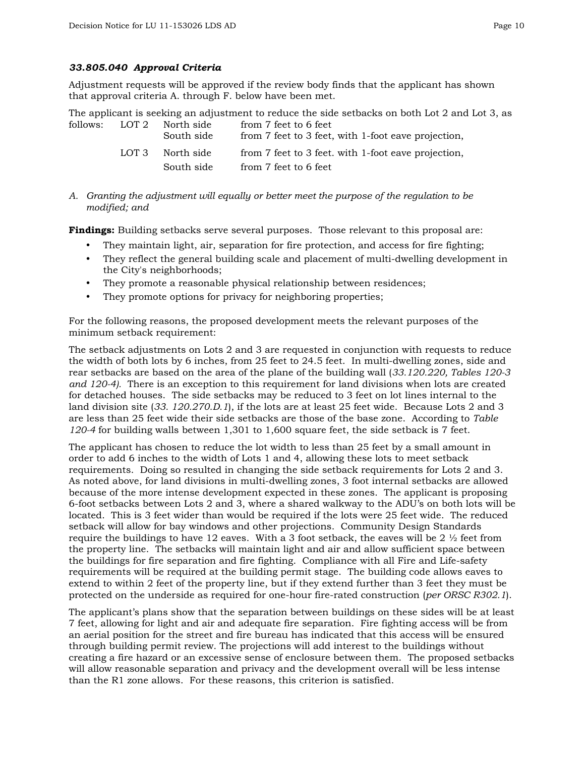#### *33.805.040 Approval Criteria*

Adjustment requests will be approved if the review body finds that the applicant has shown that approval criteria A. through F. below have been met.

The applicant is seeking an adjustment to reduce the side setbacks on both Lot 2 and Lot 3, as follows: LOT 2 North side from 7 feet to 6 feet

|       | South side | from 7 feet to 3 feet, with 1-foot eave projection, |
|-------|------------|-----------------------------------------------------|
| LOT 3 | North side | from 7 feet to 3 feet, with 1-foot eave projection, |
|       | South side | from 7 feet to 6 feet                               |

*A. Granting the adjustment will equally or better meet the purpose of the regulation to be modified; and* 

**Findings:** Building setbacks serve several purposes. Those relevant to this proposal are:

- They maintain light, air, separation for fire protection, and access for fire fighting;
- They reflect the general building scale and placement of multi-dwelling development in the City's neighborhoods;
- They promote a reasonable physical relationship between residences;
- They promote options for privacy for neighboring properties;

For the following reasons, the proposed development meets the relevant purposes of the minimum setback requirement:

The setback adjustments on Lots 2 and 3 are requested in conjunction with requests to reduce the width of both lots by 6 inches, from 25 feet to 24.5 feet. In multi-dwelling zones, side and rear setbacks are based on the area of the plane of the building wall (*33.120.220, Tables 120-3 and 120-4).* There is an exception to this requirement for land divisions when lots are created for detached houses. The side setbacks may be reduced to 3 feet on lot lines internal to the land division site (*33. 120.270.D.1*), if the lots are at least 25 feet wide. Because Lots 2 and 3 are less than 25 feet wide their side setbacks are those of the base zone. According to *Table 120-4* for building walls between 1,301 to 1,600 square feet, the side setback is 7 feet.

The applicant has chosen to reduce the lot width to less than 25 feet by a small amount in order to add 6 inches to the width of Lots 1 and 4, allowing these lots to meet setback requirements. Doing so resulted in changing the side setback requirements for Lots 2 and 3. As noted above, for land divisions in multi-dwelling zones, 3 foot internal setbacks are allowed because of the more intense development expected in these zones. The applicant is proposing 6-foot setbacks between Lots 2 and 3, where a shared walkway to the ADU's on both lots will be located. This is 3 feet wider than would be required if the lots were 25 feet wide. The reduced setback will allow for bay windows and other projections. Community Design Standards require the buildings to have 12 eaves. With a 3 foot setback, the eaves will be 2  $\frac{1}{2}$  feet from the property line. The setbacks will maintain light and air and allow sufficient space between the buildings for fire separation and fire fighting. Compliance with all Fire and Life-safety requirements will be required at the building permit stage. The building code allows eaves to extend to within 2 feet of the property line, but if they extend further than 3 feet they must be protected on the underside as required for one-hour fire-rated construction (*per ORSC R302.1*).

The applicant's plans show that the separation between buildings on these sides will be at least 7 feet, allowing for light and air and adequate fire separation. Fire fighting access will be from an aerial position for the street and fire bureau has indicated that this access will be ensured through building permit review. The projections will add interest to the buildings without creating a fire hazard or an excessive sense of enclosure between them. The proposed setbacks will allow reasonable separation and privacy and the development overall will be less intense than the R1 zone allows. For these reasons, this criterion is satisfied.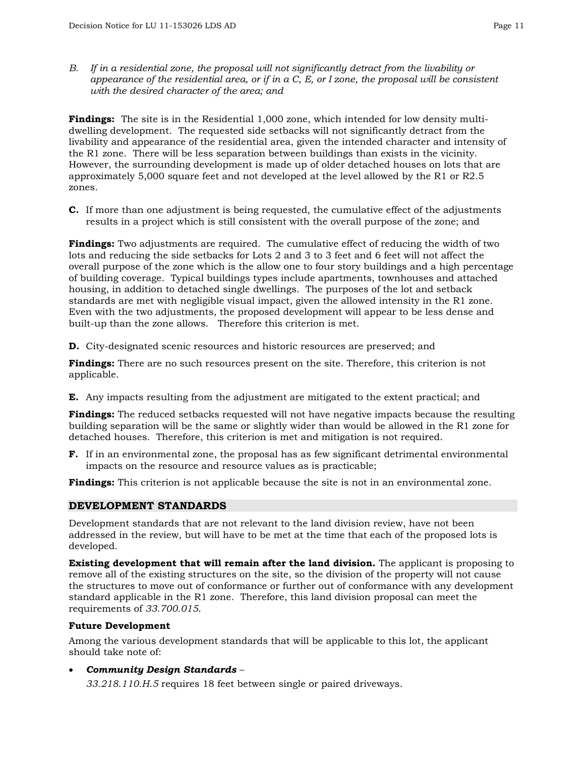*B. If in a residential zone, the proposal will not significantly detract from the livability or appearance of the residential area, or if in a C, E, or I zone, the proposal will be consistent with the desired character of the area; and* 

**Findings:** The site is in the Residential 1,000 zone, which intended for low density multidwelling development. The requested side setbacks will not significantly detract from the livability and appearance of the residential area, given the intended character and intensity of the R1 zone. There will be less separation between buildings than exists in the vicinity. However, the surrounding development is made up of older detached houses on lots that are approximately 5,000 square feet and not developed at the level allowed by the R1 or R2.5 zones.

**C.** If more than one adjustment is being requested, the cumulative effect of the adjustments results in a project which is still consistent with the overall purpose of the zone; and

**Findings:** Two adjustments are required. The cumulative effect of reducing the width of two lots and reducing the side setbacks for Lots 2 and 3 to 3 feet and 6 feet will not affect the overall purpose of the zone which is the allow one to four story buildings and a high percentage of building coverage. Typical buildings types include apartments, townhouses and attached housing, in addition to detached single dwellings. The purposes of the lot and setback standards are met with negligible visual impact, given the allowed intensity in the R1 zone. Even with the two adjustments, the proposed development will appear to be less dense and built-up than the zone allows. Therefore this criterion is met.

**D.** City-designated scenic resources and historic resources are preserved; and

**Findings:** There are no such resources present on the site. Therefore, this criterion is not applicable.

**E.** Any impacts resulting from the adjustment are mitigated to the extent practical; and

**Findings:** The reduced setbacks requested will not have negative impacts because the resulting building separation will be the same or slightly wider than would be allowed in the R1 zone for detached houses. Therefore, this criterion is met and mitigation is not required.

**F.** If in an environmental zone, the proposal has as few significant detrimental environmental impacts on the resource and resource values as is practicable;

**Findings:** This criterion is not applicable because the site is not in an environmental zone.

#### **DEVELOPMENT STANDARDS**

Development standards that are not relevant to the land division review, have not been addressed in the review, but will have to be met at the time that each of the proposed lots is developed.

**Existing development that will remain after the land division.** The applicant is proposing to remove all of the existing structures on the site, so the division of the property will not cause the structures to move out of conformance or further out of conformance with any development standard applicable in the R1 zone. Therefore, this land division proposal can meet the requirements of *33.700.015*.

#### **Future Development**

Among the various development standards that will be applicable to this lot, the applicant should take note of:

• *Community Design Standards* –

*33.218.110.H*.*5* requires 18 feet between single or paired driveways.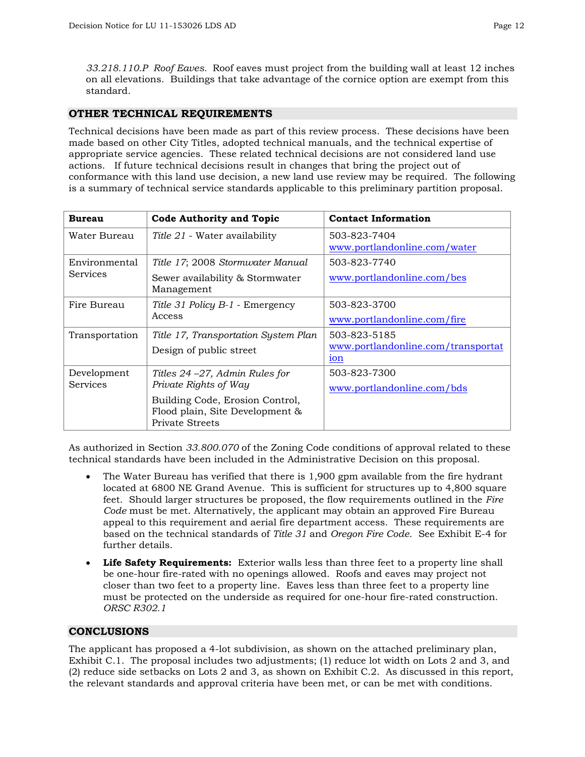*33.218.110.P Roof Eaves.* Roof eaves must project from the building wall at least 12 inches on all elevations. Buildings that take advantage of the cornice option are exempt from this standard.

## **OTHER TECHNICAL REQUIREMENTS**

Technical decisions have been made as part of this review process. These decisions have been made based on other City Titles, adopted technical manuals, and the technical expertise of appropriate service agencies. These related technical decisions are not considered land use actions. If future technical decisions result in changes that bring the project out of conformance with this land use decision, a new land use review may be required. The following is a summary of technical service standards applicable to this preliminary partition proposal.

| <b>Bureau</b>   | <b>Code Authority and Topic</b>                                                              | <b>Contact Information</b>                            |  |
|-----------------|----------------------------------------------------------------------------------------------|-------------------------------------------------------|--|
| Water Bureau    | <i>Title 21</i> - Water availability                                                         | 503-823-7404<br>www.portlandonline.com/water          |  |
| Environmental   | Title 17; 2008 Stormwater Manual                                                             | 503-823-7740                                          |  |
| <b>Services</b> | Sewer availability & Stormwater<br>Management                                                | www.portlandonline.com/bes                            |  |
| Fire Bureau     | Title 31 Policy B-1 - Emergency                                                              | 503-823-3700                                          |  |
|                 | Access                                                                                       | www.portlandonline.com/fire                           |  |
| Transportation  | Title 17, Transportation System Plan                                                         | 503-823-5185                                          |  |
|                 | Design of public street                                                                      | www.portlandonline.com/transportat<br>10 <sub>n</sub> |  |
| Development     | Titles $24 - 27$ , Admin Rules for                                                           | 503-823-7300                                          |  |
| <b>Services</b> | Private Rights of Way                                                                        | www.portlandonline.com/bds                            |  |
|                 | Building Code, Erosion Control,<br>Flood plain, Site Development &<br><b>Private Streets</b> |                                                       |  |

As authorized in Section *33.800.070* of the Zoning Code conditions of approval related to these technical standards have been included in the Administrative Decision on this proposal.

- The Water Bureau has verified that there is 1,900 gpm available from the fire hydrant located at 6800 NE Grand Avenue. This is sufficient for structures up to 4,800 square feet. Should larger structures be proposed, the flow requirements outlined in the *Fire Code* must be met. Alternatively, the applicant may obtain an approved Fire Bureau appeal to this requirement and aerial fire department access. These requirements are based on the technical standards of *Title 31* and *Oregon Fire Code*. See Exhibit E-4 for further details.
- **Life Safety Requirements:** Exterior walls less than three feet to a property line shall be one-hour fire-rated with no openings allowed. Roofs and eaves may project not closer than two feet to a property line. Eaves less than three feet to a property line must be protected on the underside as required for one-hour fire-rated construction. *ORSC R302.1*

## **CONCLUSIONS**

The applicant has proposed a 4-lot subdivision, as shown on the attached preliminary plan, Exhibit C.1. The proposal includes two adjustments; (1) reduce lot width on Lots 2 and 3, and (2) reduce side setbacks on Lots 2 and 3, as shown on Exhibit C.2. As discussed in this report, the relevant standards and approval criteria have been met, or can be met with conditions.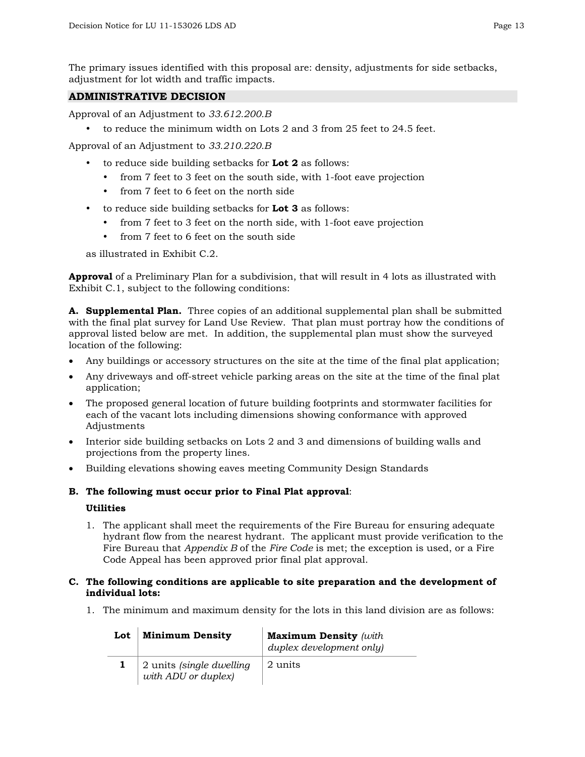The primary issues identified with this proposal are: density, adjustments for side setbacks, adjustment for lot width and traffic impacts.

## **ADMINISTRATIVE DECISION**

Approval of an Adjustment to *33.612.200.B*

y to reduce the minimum width on Lots 2 and 3 from 25 feet to 24.5 feet.

Approval of an Adjustment to *33.210.220.B*

- to reduce side building setbacks for **Lot 2** as follows:
	- from 7 feet to 3 feet on the south side, with 1-foot eave projection
	- from 7 feet to 6 feet on the north side
- to reduce side building setbacks for **Lot 3** as follows:
	- from 7 feet to 3 feet on the north side, with 1-foot eave projection
	- from 7 feet to 6 feet on the south side

as illustrated in Exhibit C.2.

**Approval** of a Preliminary Plan for a subdivision, that will result in 4 lots as illustrated with Exhibit C.1, subject to the following conditions:

**A. Supplemental Plan.** Three copies of an additional supplemental plan shall be submitted with the final plat survey for Land Use Review. That plan must portray how the conditions of approval listed below are met. In addition, the supplemental plan must show the surveyed location of the following:

- Any buildings or accessory structures on the site at the time of the final plat application;
- Any driveways and off-street vehicle parking areas on the site at the time of the final plat application;
- The proposed general location of future building footprints and stormwater facilities for each of the vacant lots including dimensions showing conformance with approved Adjustments
- Interior side building setbacks on Lots 2 and 3 and dimensions of building walls and projections from the property lines.
- Building elevations showing eaves meeting Community Design Standards

#### **B. The following must occur prior to Final Plat approval**:

#### **Utilities**

1. The applicant shall meet the requirements of the Fire Bureau for ensuring adequate hydrant flow from the nearest hydrant. The applicant must provide verification to the Fire Bureau that *Appendix B* of the *Fire Code* is met; the exception is used, or a Fire Code Appeal has been approved prior final plat approval.

## **C. The following conditions are applicable to site preparation and the development of individual lots:**

1. The minimum and maximum density for the lots in this land division are as follows:

| Lot | <b>Minimum Density</b>                          | <b>Maximum Density</b> (with<br>duplex development only) |
|-----|-------------------------------------------------|----------------------------------------------------------|
|     | 2 units (single dwelling<br>with ADU or duplex) | 2 units                                                  |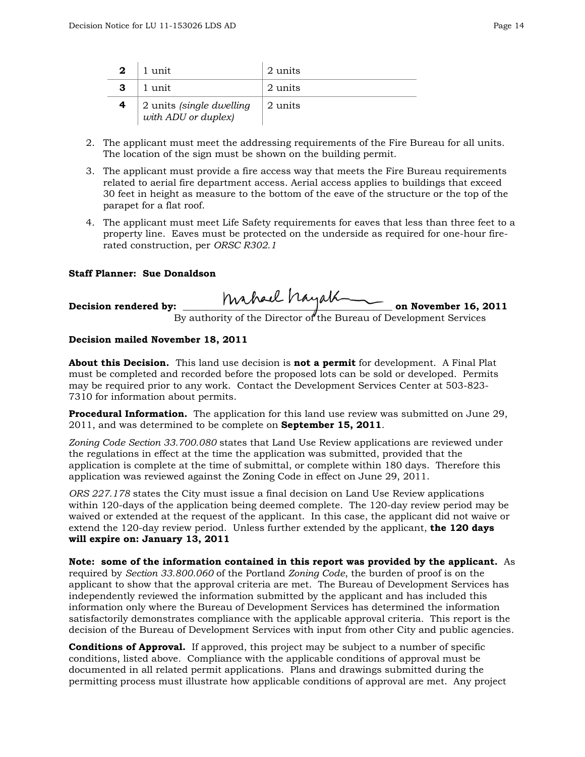| $\mathbf{2}$ | 1 unit                                          | 2 units |
|--------------|-------------------------------------------------|---------|
|              | 1 unit                                          | 2 units |
|              | 2 units (single dwelling<br>with ADU or duplex) | 2 units |

- 2. The applicant must meet the addressing requirements of the Fire Bureau for all units. The location of the sign must be shown on the building permit.
- 3. The applicant must provide a fire access way that meets the Fire Bureau requirements related to aerial fire department access. Aerial access applies to buildings that exceed 30 feet in height as measure to the bottom of the eave of the structure or the top of the parapet for a flat roof.
- 4. The applicant must meet Life Safety requirements for eaves that less than three feet to a property line. Eaves must be protected on the underside as required for one-hour firerated construction, per *ORSC R302.1*

### **Staff Planner: Sue Donaldson**

| Decision rendered by: | mahael hayak                                                       | on November 16, 2011 |
|-----------------------|--------------------------------------------------------------------|----------------------|
|                       | By authority of the Director of the Bureau of Development Services |                      |

#### **Decision mailed November 18, 2011**

**About this Decision.** This land use decision is **not a permit** for development. A Final Plat must be completed and recorded before the proposed lots can be sold or developed. Permits may be required prior to any work. Contact the Development Services Center at 503-823- 7310 for information about permits.

**Procedural Information.** The application for this land use review was submitted on June 29, 2011, and was determined to be complete on **September 15, 2011**.

*Zoning Code Section 33.700.080* states that Land Use Review applications are reviewed under the regulations in effect at the time the application was submitted, provided that the application is complete at the time of submittal, or complete within 180 days. Therefore this application was reviewed against the Zoning Code in effect on June 29, 2011.

*ORS 227.178* states the City must issue a final decision on Land Use Review applications within 120-days of the application being deemed complete. The 120-day review period may be waived or extended at the request of the applicant. In this case, the applicant did not waive or extend the 120-day review period. Unless further extended by the applicant, **the 120 days will expire on: January 13, 2011**

**Note: some of the information contained in this report was provided by the applicant.** As required by *Section 33.800.060* of the Portland *Zoning Code*, the burden of proof is on the applicant to show that the approval criteria are met. The Bureau of Development Services has independently reviewed the information submitted by the applicant and has included this information only where the Bureau of Development Services has determined the information satisfactorily demonstrates compliance with the applicable approval criteria. This report is the decision of the Bureau of Development Services with input from other City and public agencies.

**Conditions of Approval.** If approved, this project may be subject to a number of specific conditions, listed above. Compliance with the applicable conditions of approval must be documented in all related permit applications. Plans and drawings submitted during the permitting process must illustrate how applicable conditions of approval are met. Any project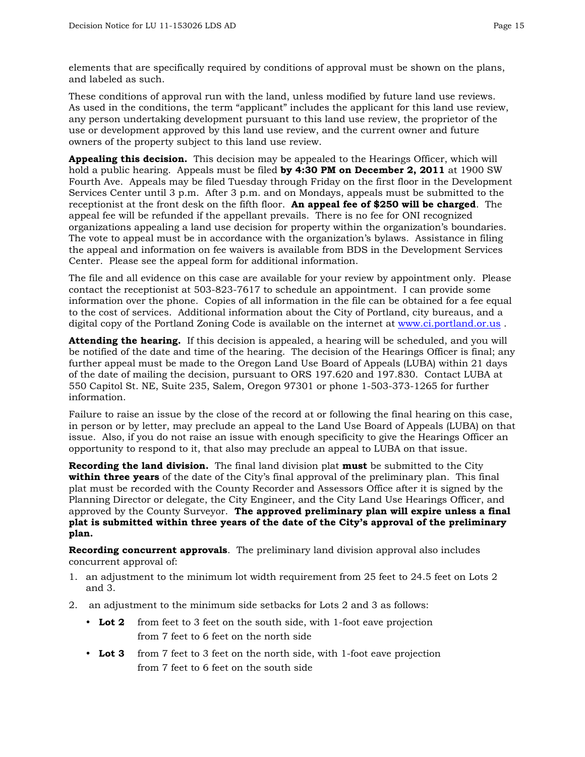elements that are specifically required by conditions of approval must be shown on the plans, and labeled as such.

These conditions of approval run with the land, unless modified by future land use reviews. As used in the conditions, the term "applicant" includes the applicant for this land use review, any person undertaking development pursuant to this land use review, the proprietor of the use or development approved by this land use review, and the current owner and future owners of the property subject to this land use review.

**Appealing this decision.** This decision may be appealed to the Hearings Officer, which will hold a public hearing. Appeals must be filed **by 4:30 PM on December 2, 2011** at 1900 SW Fourth Ave. Appeals may be filed Tuesday through Friday on the first floor in the Development Services Center until 3 p.m. After 3 p.m. and on Mondays, appeals must be submitted to the receptionist at the front desk on the fifth floor. **An appeal fee of \$250 will be charged**. The appeal fee will be refunded if the appellant prevails. There is no fee for ONI recognized organizations appealing a land use decision for property within the organization's boundaries. The vote to appeal must be in accordance with the organization's bylaws. Assistance in filing the appeal and information on fee waivers is available from BDS in the Development Services Center. Please see the appeal form for additional information.

The file and all evidence on this case are available for your review by appointment only. Please contact the receptionist at 503-823-7617 to schedule an appointment. I can provide some information over the phone. Copies of all information in the file can be obtained for a fee equal to the cost of services. Additional information about the City of Portland, city bureaus, and a digital copy of the Portland Zoning Code is available on the internet at [www.ci.portland.or.us](http://www.ci.portland.or.us/) .

**Attending the hearing.** If this decision is appealed, a hearing will be scheduled, and you will be notified of the date and time of the hearing. The decision of the Hearings Officer is final; any further appeal must be made to the Oregon Land Use Board of Appeals (LUBA) within 21 days of the date of mailing the decision, pursuant to ORS 197.620 and 197.830. Contact LUBA at 550 Capitol St. NE, Suite 235, Salem, Oregon 97301 or phone 1-503-373-1265 for further information.

Failure to raise an issue by the close of the record at or following the final hearing on this case, in person or by letter, may preclude an appeal to the Land Use Board of Appeals (LUBA) on that issue. Also, if you do not raise an issue with enough specificity to give the Hearings Officer an opportunity to respond to it, that also may preclude an appeal to LUBA on that issue.

**Recording the land division.** The final land division plat **must** be submitted to the City **within three years** of the date of the City's final approval of the preliminary plan. This final plat must be recorded with the County Recorder and Assessors Office after it is signed by the Planning Director or delegate, the City Engineer, and the City Land Use Hearings Officer, and approved by the County Surveyor. **The approved preliminary plan will expire unless a final plat is submitted within three years of the date of the City's approval of the preliminary plan.** 

**Recording concurrent approvals**. The preliminary land division approval also includes concurrent approval of:

- 1. an adjustment to the minimum lot width requirement from 25 feet to 24.5 feet on Lots 2 and 3.
- 2. an adjustment to the minimum side setbacks for Lots 2 and 3 as follows:
	- Lot 2 from feet to 3 feet on the south side, with 1-foot eave projection from 7 feet to 6 feet on the north side
	- Lot 3 from 7 feet to 3 feet on the north side, with 1-foot eave projection from 7 feet to 6 feet on the south side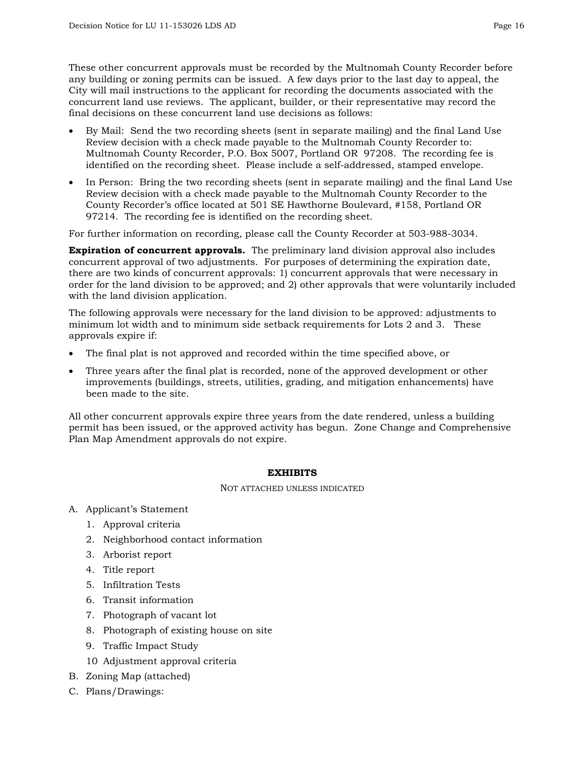These other concurrent approvals must be recorded by the Multnomah County Recorder before any building or zoning permits can be issued. A few days prior to the last day to appeal, the City will mail instructions to the applicant for recording the documents associated with the concurrent land use reviews. The applicant, builder, or their representative may record the final decisions on these concurrent land use decisions as follows:

- By Mail: Send the two recording sheets (sent in separate mailing) and the final Land Use Review decision with a check made payable to the Multnomah County Recorder to: Multnomah County Recorder, P.O. Box 5007, Portland OR 97208. The recording fee is identified on the recording sheet. Please include a self-addressed, stamped envelope.
- In Person: Bring the two recording sheets (sent in separate mailing) and the final Land Use Review decision with a check made payable to the Multnomah County Recorder to the County Recorder's office located at 501 SE Hawthorne Boulevard, #158, Portland OR 97214. The recording fee is identified on the recording sheet.

For further information on recording, please call the County Recorder at 503-988-3034.

**Expiration of concurrent approvals.** The preliminary land division approval also includes concurrent approval of two adjustments. For purposes of determining the expiration date, there are two kinds of concurrent approvals: 1) concurrent approvals that were necessary in order for the land division to be approved; and 2) other approvals that were voluntarily included with the land division application.

The following approvals were necessary for the land division to be approved: adjustments to minimum lot width and to minimum side setback requirements for Lots 2 and 3. These approvals expire if:

- The final plat is not approved and recorded within the time specified above, or
- Three years after the final plat is recorded, none of the approved development or other improvements (buildings, streets, utilities, grading, and mitigation enhancements) have been made to the site.

All other concurrent approvals expire three years from the date rendered, unless a building permit has been issued, or the approved activity has begun. Zone Change and Comprehensive Plan Map Amendment approvals do not expire.

#### **EXHIBITS**

NOT ATTACHED UNLESS INDICATED

- A. Applicant's Statement
	- 1. Approval criteria
	- 2. Neighborhood contact information
	- 3. Arborist report
	- 4. Title report
	- 5. Infiltration Tests
	- 6. Transit information
	- 7. Photograph of vacant lot
	- 8. Photograph of existing house on site
	- 9. Traffic Impact Study
	- 10 Adjustment approval criteria
- B. Zoning Map (attached)
- C. Plans/Drawings: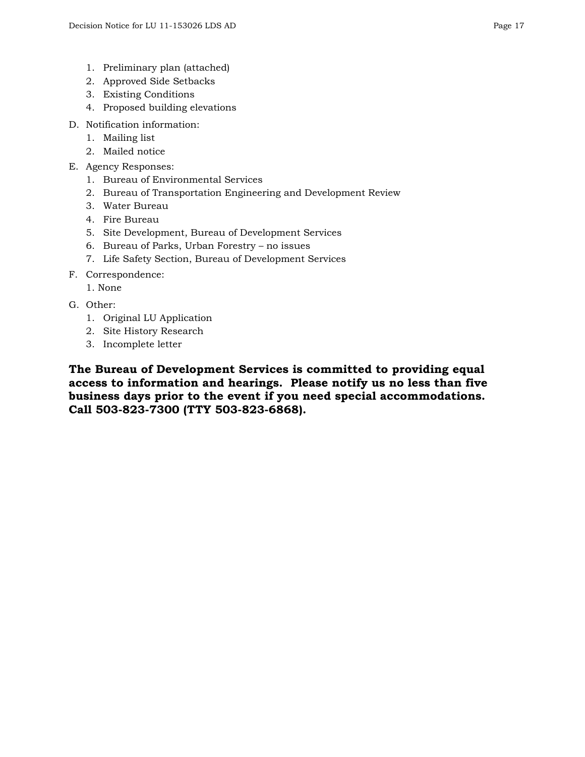- 1. Preliminary plan (attached)
- 2. Approved Side Setbacks
- 3. Existing Conditions
- 4. Proposed building elevations
- D. Notification information:
	- 1. Mailing list
	- 2. Mailed notice
- E. Agency Responses:
	- 1. Bureau of Environmental Services
	- 2. Bureau of Transportation Engineering and Development Review
	- 3. Water Bureau
	- 4. Fire Bureau
	- 5. Site Development, Bureau of Development Services
	- 6. Bureau of Parks, Urban Forestry no issues
	- 7. Life Safety Section, Bureau of Development Services
- F. Correspondence:
	- 1. None
- G. Other:
	- 1. Original LU Application
	- 2. Site History Research
	- 3. Incomplete letter

**The Bureau of Development Services is committed to providing equal access to information and hearings. Please notify us no less than five business days prior to the event if you need special accommodations. Call 503-823-7300 (TTY 503-823-6868).**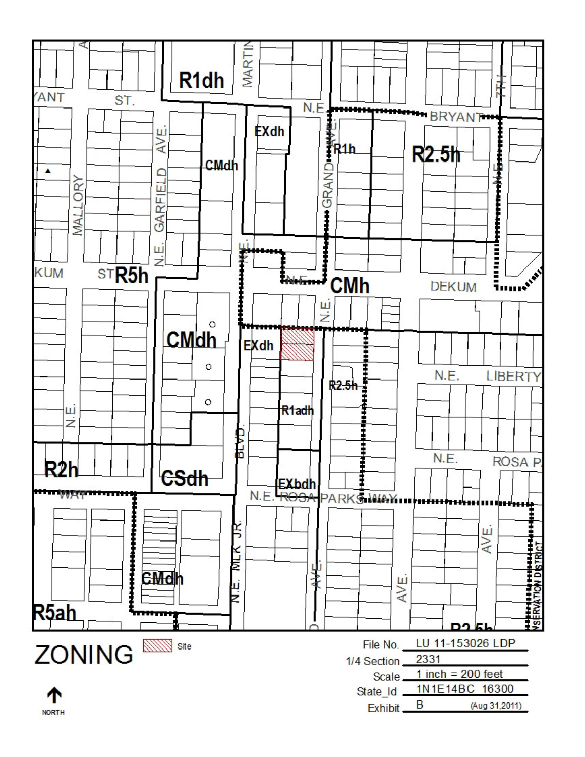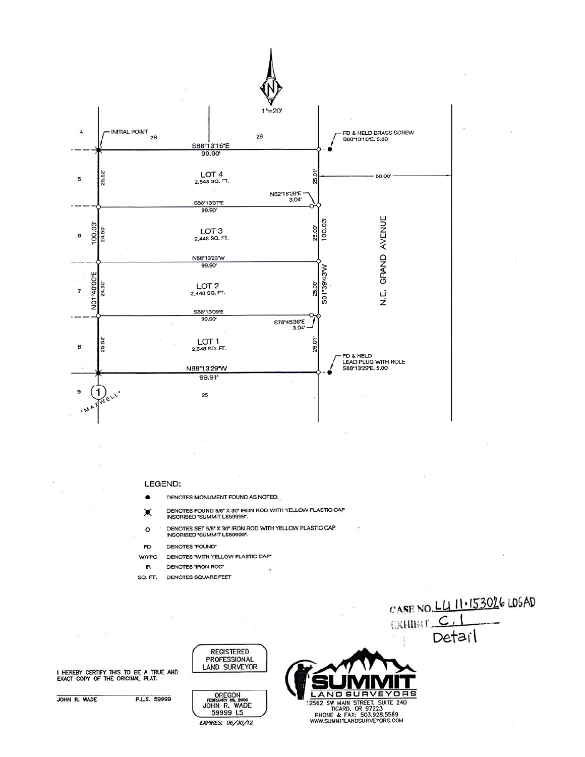

#### LEGEND:

- DENOTES MONUMENT FOUND AS NOTED.
- DENOTES FOUND 5/8" X 30" IRON ROD WITH YELLOW PLASTIC CAP<br>INSCRIBED "SUMMIT LS59999". ☀
- DENOTES SET 5/8" X 30" IRON ROD WITH YELLOW PLASTIC CAP  $\circ$ **INSCRIBED \*SUMMIT LS59999\*.**
- **FD** DENOTES "FOUND"
- DENOTES 'WITH YELLOW PLASTIC CAP' **W/YPC**
- DENOTES 'IRON ROD' **IR**
- DENOTES SQUARE FEET SQ. FT.



I HEREBY CERTIFY THIS TO BE A TRUE AND EXACT COPY OF THE ORIGINAL PLAT.

JOHN R. WADE

P.LS. 59999

OREGON<br>FEDRUARY 04, 2000<br>JOHN R. WADE 59999 LS EXPIRES: 06/30/12

**REGISTERED PROFESSIONAL LAND SURVEYOR**